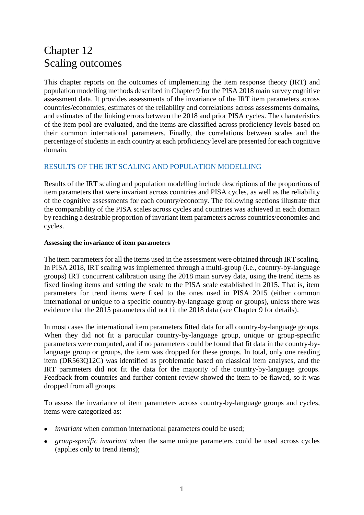# Chapter 12 Scaling outcomes

This chapter reports on the outcomes of implementing the item response theory (IRT) and population modelling methods described in Chapter 9 for the PISA 2018 main survey cognitive assessment data. It provides assessments of the invariance of the IRT item parameters across countries/economies, estimates of the reliability and correlations across assessments domains, and estimates of the linking errors between the 2018 and prior PISA cycles. The charateristics of the item pool are evaluated, and the items are classified across proficiency levels based on their common international parameters. Finally, the correlations between scales and the percentage of students in each country at each proficiency level are presented for each cognitive domain.

# RESULTS OF THE IRT SCALING AND POPULATION MODELLING

Results of the IRT scaling and population modelling include descriptions of the proportions of item parameters that were invariant across countries and PISA cycles, as well as the reliability of the cognitive assessments for each country/economy. The following sections illustrate that the comparability of the PISA scales across cycles and countries was achieved in each domain by reaching a desirable proportion of invariant item parameters across countries/economies and cycles.

## **Assessing the invariance of item parameters**

The item parameters for all the items used in the assessment were obtained through IRT scaling. In PISA 2018, IRT scaling was implemented through a multi-group (i.e., country-by-language groups) IRT concurrent calibration using the 2018 main survey data, using the trend items as fixed linking items and setting the scale to the PISA scale established in 2015. That is, item parameters for trend items were fixed to the ones used in PISA 2015 (either common international or unique to a specific country-by-language group or groups), unless there was evidence that the 2015 parameters did not fit the 2018 data (see Chapter 9 for details).

In most cases the international item parameters fitted data for all country-by-language groups. When they did not fit a particular country-by-language group, unique or group-specific parameters were computed, and if no parameters could be found that fit data in the country-bylanguage group or groups, the item was dropped for these groups. In total, only one reading item (DR563Q12C) was identified as problematic based on classical item analyses, and the IRT parameters did not fit the data for the majority of the country-by-language groups. Feedback from countries and further content review showed the item to be flawed, so it was dropped from all groups.

To assess the invariance of item parameters across country-by-language groups and cycles, items were categorized as:

- *invariant* when common international parameters could be used;
- *group-specific invariant* when the same unique parameters could be used across cycles (applies only to trend items);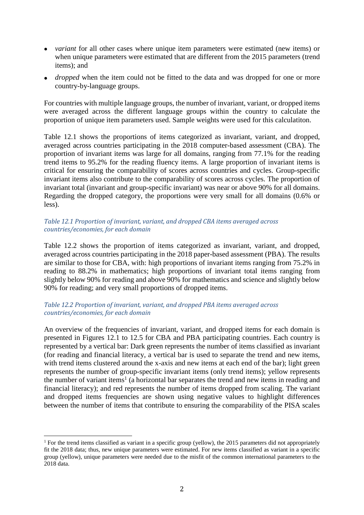- *variant* for all other cases where unique item parameters were estimated (new items) or when unique parameters were estimated that are different from the 2015 parameters (trend items); and
- *dropped* when the item could not be fitted to the data and was dropped for one or more country-by-language groups.

For countries with multiple language groups, the number of invariant, variant, or dropped items were averaged across the different language groups within the country to calculate the proportion of unique item parameters used. Sample weights were used for this calculatiton.

Table 12.1 shows the proportions of items categorized as invariant, variant, and dropped, averaged across countries participating in the 2018 computer-based assessment (CBA). The proportion of invariant items was large for all domains, ranging from 77.1% for the reading trend items to 95.2% for the reading fluency items. A large proportion of invariant items is critical for ensuring the comparability of scores across countries and cycles. Group-specific invariant items also contribute to the comparability of scores across cycles. The proportion of invariant total (invariant and group-specific invariant) was near or above 90% for all domains. Regarding the dropped category, the proportions were very small for all domains (0.6% or less).

# *Table 12.1 Proportion of invariant, variant, and dropped CBA items averaged across countries/economies, for each domain*

Table 12.2 shows the proportion of items categorized as invariant, variant, and dropped, averaged across countries participating in the 2018 paper-based assessment (PBA). The results are similar to those for CBA, with: high proportions of invariant items ranging from 75.2% in reading to 88.2% in mathematics; high proportions of invariant total items ranging from slightly below 90% for reading and above 90% for mathematics and science and slightly below 90% for reading; and very small proportions of dropped items.

# *Table 12.2 Proportion of invariant, variant, and dropped PBA items averaged across countries/economies, for each domain*

An overview of the frequencies of invariant, variant, and dropped items for each domain is presented in Figures 12.1 to 12.5 for CBA and PBA participating countries. Each country is represented by a vertical bar: Dark green represents the number of items classified as invariant (for reading and financial literacy, a vertical bar is used to separate the trend and new items, with trend items clustered around the x-axis and new items at each end of the bar); light green represents the number of group-specific invariant items (only trend items); yellow represents the number of variant items 1 (a horizontal bar separates the trend and new items in reading and financial literacy); and red represents the number of items dropped from scaling. The variant and dropped items frequencies are shown using negative values to highlight differences between the number of items that contribute to ensuring the comparability of the PISA scales

<u>.</u>

<sup>&</sup>lt;sup>1</sup> For the trend items classified as variant in a specific group (yellow), the 2015 parameters did not appropriately fit the 2018 data; thus, new unique parameters were estimated. For new items classified as variant in a specific group (yellow), unique parameters were needed due to the misfit of the common international parameters to the 2018 data.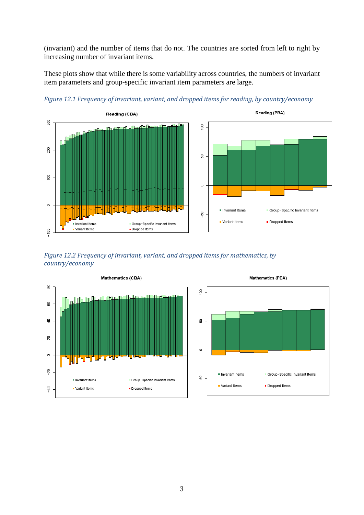(invariant) and the number of items that do not. The countries are sorted from left to right by increasing number of invariant items.

These plots show that while there is some variability across countries, the numbers of invariant item parameters and group-specific invariant item parameters are large.



*Figure 12.1 Frequency of invariant, variant, and dropped items for reading, by country/economy*







Mathematics (PBA)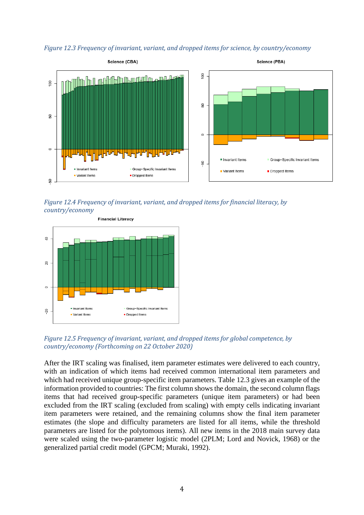*Figure 12.3 Frequency of invariant, variant, and dropped items for science, by country/economy*



*Figure 12.4 Frequency of invariant, variant, and dropped items for financial literacy, by country/economy*



*Figure 12.5 Frequency of invariant, variant, and dropped items for global competence, by country/economy (Forthcoming on 22 October 2020)*

After the IRT scaling was finalised, item parameter estimates were delivered to each country, with an indication of which items had received common international item parameters and which had received unique group-specific item parameters. Table 12.3 gives an example of the information provided to countries: The first column shows the domain, the second column flags items that had received group-specific parameters (unique item parameters) or had been excluded from the IRT scaling (excluded from scaling) with empty cells indicating invariant item parameters were retained, and the remaining columns show the final item parameter estimates (the slope and difficulty parameters are listed for all items, while the threshold parameters are listed for the polytomous items). All new items in the 2018 main survey data were scaled using the two-parameter logistic model (2PLM; Lord and Novick, 1968) or the generalized partial credit model (GPCM; Muraki, 1992).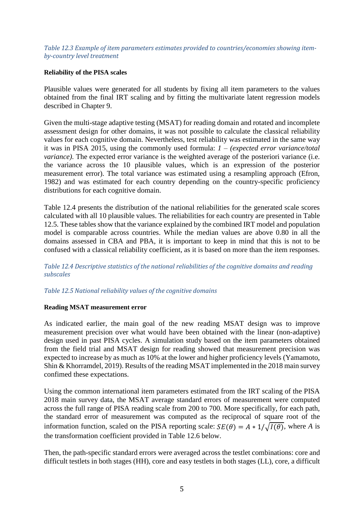*Table 12.3 Example of item parameters estimates provided to countries/economies showing itemby-country level treatment* 

## **Reliability of the PISA scales**

Plausible values were generated for all students by fixing all item parameters to the values obtained from the final IRT scaling and by fitting the multivariate latent regression models described in Chapter 9.

Given the multi-stage adaptive testing (MSAT) for reading domain and rotated and incomplete assessment design for other domains, it was not possible to calculate the classical reliability values for each cognitive domain. Nevertheless, test reliability was estimated in the same way it was in PISA 2015, using the commonly used formula: *1 – (expected error variance/total variance)*. The expected error variance is the weighted average of the posteriori variance (i.e. the variance across the 10 plausible values, which is an expression of the posterior measurement error). The total variance was estimated using a resampling approach (Efron, 1982) and was estimated for each country depending on the country-specific proficiency distributions for each cognitive domain.

Table 12.4 presents the distribution of the national reliabilities for the generated scale scores calculated with all 10 plausible values. The reliabilities for each country are presented in Table 12.5. These tables show that the variance explained by the combined IRT model and population model is comparable across countries. While the median values are above 0.80 in all the domains assessed in CBA and PBA, it is important to keep in mind that this is not to be confused with a classical reliability coefficient, as it is based on more than the item responses.

*Table 12.4 Descriptive statistics of the national reliabilities of the cognitive domains and reading subscales*

*Table 12.5 National reliability values of the cognitive domains*

## **Reading MSAT measurement error**

As indicated earlier, the main goal of the new reading MSAT design was to improve measurement precision over what would have been obtained with the linear (non-adaptive) design used in past PISA cycles. A simulation study based on the item parameters obtained from the field trial and MSAT design for reading showed that measurement precision was expected to increase by as much as 10% at the lower and higher proficiency levels (Yamamoto, Shin & Khorramdel, 2019). Results of the reading MSAT implemented in the 2018 main survey confimed these expectations.

Using the common international item parameters estimated from the IRT scaling of the PISA 2018 main survey data, the MSAT average standard errors of measurement were computed across the full range of PISA reading scale from 200 to 700. More specifically, for each path, the standard error of measurement was computed as the reciprocal of square root of the information function, scaled on the PISA reporting scale:  $SE(\theta) = A * 1/\sqrt{I(\theta)}$ , where *A* is the transformation coefficient provided in Table 12.6 below.

Then, the path-specific standard errors were averaged across the testlet combinations: core and difficult testlets in both stages (HH), core and easy testlets in both stages (LL), core, a difficult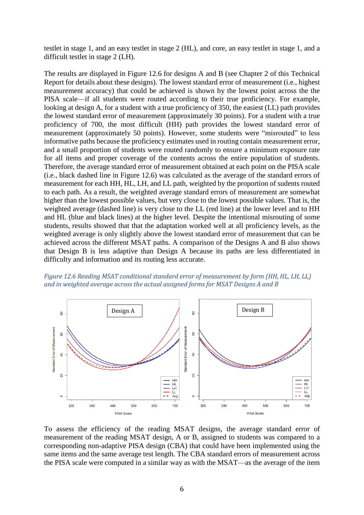testlet in stage 1, and an easy testlet in stage 2 (HL), and core, an easy testlet in stage 1, and a difficult testlet in stage 2 (LH).

The results are displayed in Figure 12.6 for designs A and B (see Chapter 2 of this Technical Report for details about these designs). The lowest standard error of measurement (i.e., highest measurement accuracy) that could be achieved is shown by the lowest point across the the PISA scale—if all students were routed according to their true proficiency. For example, looking at design A, for a student with a true proficiency of 350, the easiest (LL) path provides the lowest standard error of measurement (approximately 30 points). For a student with a true proficiency of 700, the most difficult (HH) path provides the lowest standard error of measurement (approximately 50 points). However, some students were "misrouted" to less informative paths because the proficiency estimates used in routing contain measurement error, and a small proportion of students were routed randomly to ensure a minimum exposure rate for all items and proper coverage of the contents across the entire population of students. Therefore, the average standard error of measurement obtained at each point on the PISA scale (i.e., black dashed line in Figure 12.6) was calculated as the average of the standard errors of measurement for each HH, HL, LH, and LL path, weighted by the proportion of sudents routed to each path. As a result, the weighted average standard errors of measurement are somewhat higher than the lowest possible values, but very close to the lowest possible values. That is, the weighted average (dashed line) is very close to the LL (red line) at the lower level and to HH and HL (blue and black lines) at the higher level. Despite the intentional misrouting of some students, results showed that that the adaptation worked well at all proficiency levels, as the weighted average is only slightly above the lowest standard error of measurement that can be achieved across the different MSAT paths. A comparison of the Designs A and B also shows that Design B is less adaptive than Design A because its paths are less differentiated in difficulty and information and its routing less accurate.





To assess the efficiency of the reading MSAT designs, the average standard error of measurement of the reading MSAT design, A or B, assigned to students was compared to a corresponding non-adaptive PISA design (CBA) that could have been implemented using the same items and the same average test length. The CBA standard errors of measurement across the PISA scale were computed in a similar way as with the MSAT—as the average of the item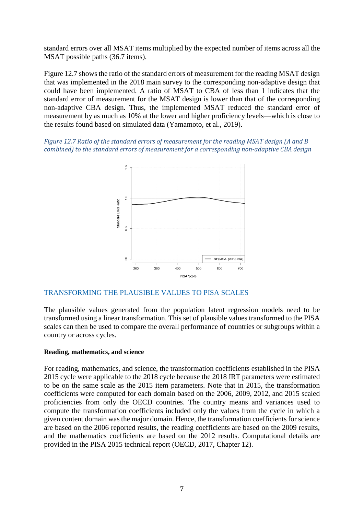standard errors over all MSAT items multiplied by the expected number of items across all the MSAT possible paths (36.7 items).

Figure 12.7 shows the ratio of the standard errors of measurement for the reading MSAT design that was implemented in the 2018 main survey to the corresponding non-adaptive design that could have been implemented. A ratio of MSAT to CBA of less than 1 indicates that the standard error of measurement for the MSAT design is lower than that of the corresponding non-adaptive CBA design. Thus, the implemented MSAT reduced the standard error of measurement by as much as 10% at the lower and higher proficiency levels—which is close to the results found based on simulated data (Yamamoto, et al., 2019).

*Figure 12.7 Ratio of the standard errors of measurement for the reading MSAT design (A and B combined) to the standard errors of measurement for a corresponding non-adaptive CBA design*



## TRANSFORMING THE PLAUSIBLE VALUES TO PISA SCALES

The plausible values generated from the population latent regression models need to be transformed using a linear transformation. This set of plausible values transformed to the PISA scales can then be used to compare the overall performance of countries or subgroups within a country or across cycles.

### **Reading, mathematics, and science**

For reading, mathematics, and science, the transformation coefficients established in the PISA 2015 cycle were applicable to the 2018 cycle because the 2018 IRT parameters were estimated to be on the same scale as the 2015 item parameters. Note that in 2015, the transformation coefficients were computed for each domain based on the 2006, 2009, 2012, and 2015 scaled proficiencies from only the OECD countries. The country means and variances used to compute the transformation coefficients included only the values from the cycle in which a given content domain was the major domain. Hence, the transformation coefficients for science are based on the 2006 reported results, the reading coefficients are based on the 2009 results, and the mathematics coefficients are based on the 2012 results. Computational details are provided in the PISA 2015 technical report (OECD, 2017, Chapter 12).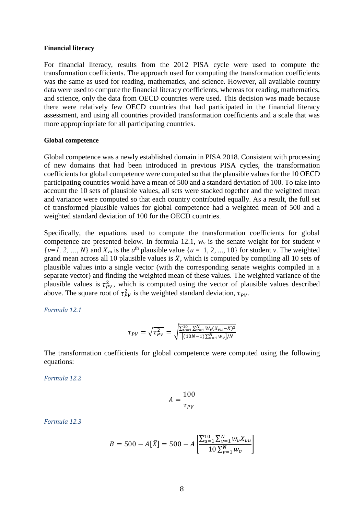#### **Financial literacy**

For financial literacy, results from the 2012 PISA cycle were used to compute the transformation coefficients. The approach used for computing the transformation coefficients was the same as used for reading, mathematics, and science. However, all available country data were used to compute the financial literacy coefficients, whereas for reading, mathematics, and science, only the data from OECD countries were used. This decision was made because there were relatively few OECD countries that had participated in the financial literacy assessment, and using all countries provided transformation coefficients and a scale that was more appropriopriate for all participating countries.

#### **Global competence**

Global competence was a newly established domain in PISA 2018. Consistent with processing of new domains that had been introduced in previous PISA cycles, the transformation coefficients for global competence were computed so that the plausible values for the 10 OECD participating countries would have a mean of 500 and a standard deviation of 100. To take into account the 10 sets of plausible values, all sets were stacked together and the weighted mean and variance were computed so that each country contributed equally. As a result, the full set of transformed plausible values for global competence had a weighted mean of 500 and a weighted standard deviation of 100 for the OECD countries.

Specifically, the equations used to compute the transformation coefficients for global competence are presented below. In formula 12.1,  $w<sub>v</sub>$  is the senate weight for for student *v*  $\{v=1, 2, ..., N\}$  and  $X_{vu}$  is the  $u^{\text{th}}$  plausible value  $\{u=1, 2, ..., 10\}$  for student *v*. The weighted grand mean across all 10 plausible values is  $\overline{X}$ , which is computed by compiling all 10 sets of plausible values into a single vector (with the corresponding senate weights compiled in a separate vector) and finding the weighted mean of these values. The weighted variance of the plausible values is  $\tau_{PV}^2$ , which is computed using the vector of plausible values described above. The square root of  $\tau_{PV}^2$  is the weighted standard deviation,  $\tau_{PV}$ .

*Formula 12.1*

$$
\tau_{PV} = \sqrt{\tau_{PV}^2} = \sqrt{\frac{\sum_{u=1}^{10} \sum_{v=1}^{N} W_v (X_{vu} - \bar{X})^2}{[(10N - 1)\sum_{v=1}^{N} w_v]/N}}
$$

The transformation coefficients for global competence were computed using the following equations:

*Formula 12.2*

$$
A = \frac{100}{\tau_{PV}}
$$

*Formula 12.3*

$$
B = 500 - A[\bar{X}] = 500 - A \left[ \frac{\sum_{u=1}^{10} \sum_{v=1}^{N} w_v X_{vu}}{10 \sum_{v=1}^{N} w_v} \right]
$$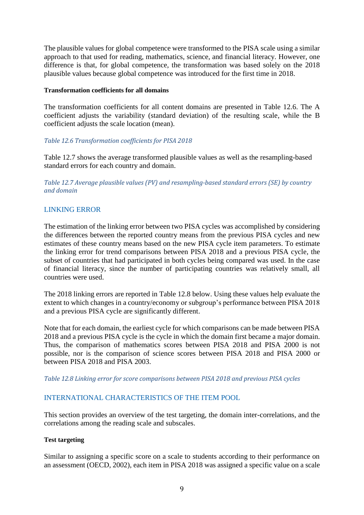The plausible values for global competence were transformed to the PISA scale using a similar approach to that used for reading, mathematics, science, and financial literacy. However, one difference is that, for global competence, the transformation was based solely on the 2018 plausible values because global competence was introduced for the first time in 2018.

## **Transformation coefficients for all domains**

The transformation coefficients for all content domains are presented in Table 12.6. The A coefficient adjusts the variability (standard deviation) of the resulting scale, while the B coefficient adjusts the scale location (mean).

# *Table 12.6 Transformation coefficients for PISA 2018*

Table 12.7 shows the average transformed plausible values as well as the resampling-based standard errors for each country and domain.

*Table 12.7 Average plausible values (PV) and resampling-based standard errors (SE) by country and domain*

# LINKING ERROR

The estimation of the linking error between two PISA cycles was accomplished by considering the differences between the reported country means from the previous PISA cycles and new estimates of these country means based on the new PISA cycle item parameters. To estimate the linking error for trend comparisons between PISA 2018 and a previous PISA cycle, the subset of countries that had participated in both cycles being compared was used. In the case of financial literacy, since the number of participating countries was relatively small, all countries were used.

The 2018 linking errors are reported in Table 12.8 below. Using these values help evaluate the extent to which changes in a country/economy or subgroup's performance between PISA 2018 and a previous PISA cycle are significantly different.

Note that for each domain, the earliest cycle for which comparisons can be made between PISA 2018 and a previous PISA cycle is the cycle in which the domain first became a major domain. Thus, the comparison of mathematics scores between PISA 2018 and PISA 2000 is not possible, nor is the comparison of science scores between PISA 2018 and PISA 2000 or between PISA 2018 and PISA 2003.

## *Table 12.8 Linking error for score comparisons between PISA 2018 and previous PISA cycles*

# INTERNATIONAL CHARACTERISTICS OF THE ITEM POOL

This section provides an overview of the test targeting, the domain inter-correlations, and the correlations among the reading scale and subscales.

## **Test targeting**

Similar to assigning a specific score on a scale to students according to their performance on an assessment (OECD, 2002), each item in PISA 2018 was assigned a specific value on a scale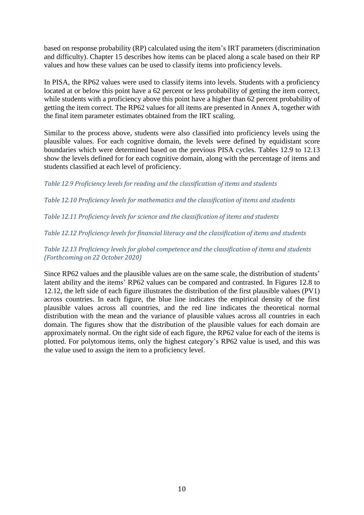based on response probability (RP) calculated using the item's IRT parameters (discrimination and difficulty). Chapter 15 describes how items can be placed along a scale based on their RP values and how these values can be used to classify items into proficiency levels.

In PISA, the RP62 values were used to classify items into levels. Students with a proficiency located at or below this point have a 62 percent or less probability of getting the item correct, while students with a proficiency above this point have a higher than 62 percent probability of getting the item correct. The RP62 values for all items are presented in Annex A, together with the final item parameter estimates obtained from the IRT scaling.

Similar to the process above, students were also classified into proficiency levels using the plausible values. For each cognitive domain, the levels were defined by equidistant score boundaries which were determined based on the previous PISA cycles. Tables 12.9 to 12.13 show the levels defined for for each cognitive domain, along with the percentage of items and students classified at each level of proficiency.

*Table 12.9 Proficiency levels for reading and the classification of items and students*

*Table 12.10 Proficiency levels for mathematics and the classification of items and students*

*Table 12.11 Proficiency levels for science and the classification of items and students*

*Table 12.12 Proficiency levels for financial literacy and the classification of items and students*

*Table 12.13 Proficiency levels for global competence and the classification of items and students (Forthcoming on 22 October 2020)*

Since RP62 values and the plausible values are on the same scale, the distribution of students' latent ability and the items' RP62 values can be compared and contrasted. In Figures 12.8 to 12.12, the left side of each figure illustrates the distribution of the first plausible values (PV1) across countries. In each figure, the blue line indicates the empirical density of the first plausible values across all countries, and the red line indicates the theoretical normal distribution with the mean and the variance of plausible values across all countries in each domain. The figures show that the distribution of the plausible values for each domain are approximately normal. On the right side of each figure, the RP62 value for each of the items is plotted. For polytomous items, only the highest category's RP62 value is used, and this was the value used to assign the item to a proficiency level.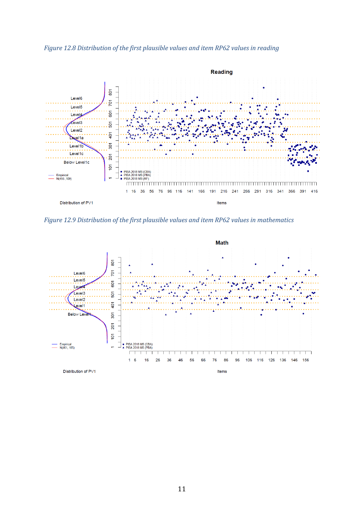*Figure 12.8 Distribution of the first plausible values and item RP62 values in reading*



*Figure 12.9 Distribution of the first plausible values and item RP62 values in mathematics*

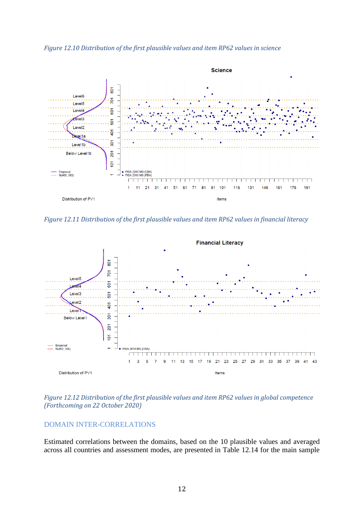*Figure 12.10 Distribution of the first plausible values and item RP62 values in science*



*Figure 12.11 Distribution of the first plausible values and item RP62 values in financial literacy*



*Figure 12.12 Distribution of the first plausible values and item RP62 values in global competence (Forthcoming on 22 October 2020)*

# DOMAIN INTER-CORRELATIONS

Estimated correlations between the domains, based on the 10 plausible values and averaged across all countries and assessment modes, are presented in Table 12.14 for the main sample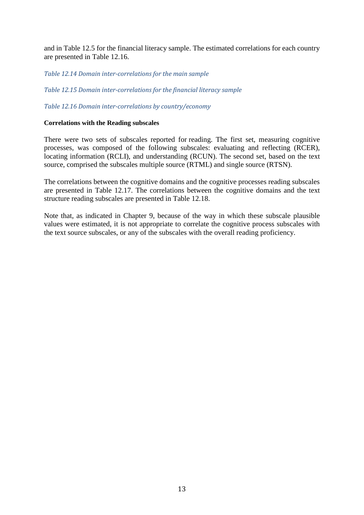and in Table 12.5 for the financial literacy sample. The estimated correlations for each country are presented in Table 12.16.

*Table 12.14 Domain inter-correlations for the main sample*

*Table 12.15 Domain inter-correlations for the financial literacy sample*

*Table 12.16 Domain inter-correlations by country/economy*

## **Correlations with the Reading subscales**

There were two sets of subscales reported for reading. The first set, measuring cognitive processes, was composed of the following subscales: evaluating and reflecting (RCER), locating information (RCLI), and understanding (RCUN). The second set, based on the text source, comprised the subscales multiple source (RTML) and single source (RTSN).

The correlations between the cognitive domains and the cognitive processes reading subscales are presented in Table 12.17. The correlations between the cognitive domains and the text structure reading subscales are presented in Table 12.18.

Note that, as indicated in Chapter 9, because of the way in which these subscale plausible values were estimated, it is not appropriate to correlate the cognitive process subscales with the text source subscales, or any of the subscales with the overall reading proficiency.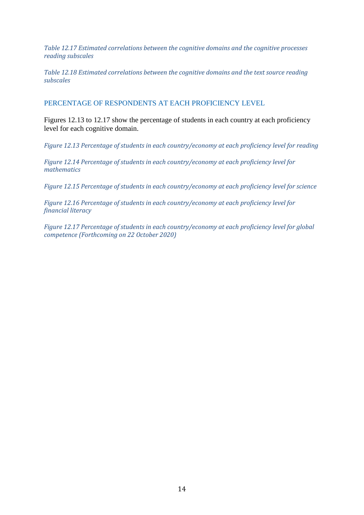*Table 12.17 Estimated correlations between the cognitive domains and the cognitive processes reading subscales*

*Table 12.18 Estimated correlations between the cognitive domains and the text source reading subscales*

PERCENTAGE OF RESPONDENTS AT EACH PROFICIENCY LEVEL

Figures 12.13 to 12.17 show the percentage of students in each country at each proficiency level for each cognitive domain.

*Figure 12.13 Percentage of students in each country/economy at each proficiency level for reading*

*Figure 12.14 Percentage of students in each country/economy at each proficiency level for mathematics*

*Figure 12.15 Percentage of students in each country/economy at each proficiency level for science*

*Figure 12.16 Percentage of students in each country/economy at each proficiency level for financial literacy*

*Figure 12.17 Percentage of students in each country/economy at each proficiency level for global competence (Forthcoming on 22 October 2020)*